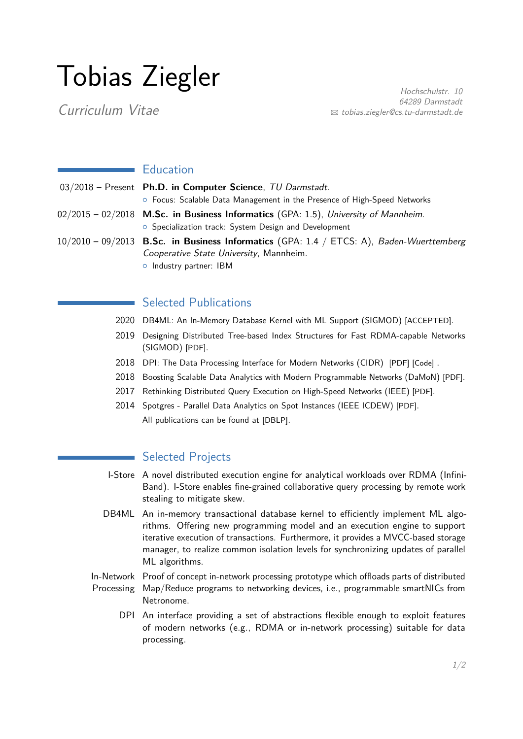# Tobias Ziegler

Curriculum Vitae

Hochschulstr. 10 64289 Darmstadt  $\boxtimes$  [tobias.ziegler@cs.tu-darmstadt.de](mailto:tobias.ziegler@cs.tu-darmstadt.de)

#### **Education**

| 03/2018 - Present Ph.D. in Computer Science, TU Darmstadt.                                                                                     |
|------------------------------------------------------------------------------------------------------------------------------------------------|
| ○ Focus: Scalable Data Management in the Presence of High-Speed Networks                                                                       |
| $02/2015 - 02/2018$ M.Sc. in Business Informatics (GPA: 1.5), University of Mannheim.<br>o Specialization track: System Design and Development |
| $10/2010 - 09/2013$ B.Sc. in Business Informatics (GPA: 1.4 / ETCS: A), Baden-Wuerttemberg<br>Cooperative State University, Mannheim.          |

o Industry partner: IBM

### Selected Publications

- 2020 DB4ML: An In-Memory Database Kernel with ML Support (SIGMOD) [ACCEPTED].
- 2019 Designing Distributed Tree-based Index Structures for Fast RDMA-capable Networks (SIGMOD) [\[PDF\]](https://dl.acm.org/doi/10.1145/3299869.3300081).
- 2018 DPI: The Data Processing Interface for Modern Networks (CIDR) [\[PDF\]](http://cidrdb.org/cidr2019/papers/p11-alonso-cidr19.pdf) [\[Code\]](https://github.com/DataManagementLab/dpi_library).
- 2018 Boosting Scalable Data Analytics with Modern Programmable Networks (DaMoN) [\[PDF\]](https://dl.acm.org/citation.cfm?doid=3211922.3211923).
- 2017 Rethinking Distributed Query Execution on High-Speed Networks (IEEE) [\[PDF\]](http://sites.computer.org/debull/A17mar/p27.pdf).
- 2014 Spotgres Parallel Data Analytics on Spot Instances (IEEE ICDEW) [\[PDF\]](http://ieeexplore.ieee.org/xpl/abstractCitations.jsp?arnumber=7129538). All publications can be found at [\[DBLP\]](https://dblp.org/pers/hd/z/Ziegler_0001:Tobias).

#### Selected Projects

- I-Store A novel distributed execution engine for analytical workloads over RDMA (Infini-Band). I-Store enables fine-grained collaborative query processing by remote work stealing to mitigate skew.
- DB4ML An in-memory transactional database kernel to efficiently implement ML algorithms. Offering new programming model and an execution engine to support iterative execution of transactions. Furthermore, it provides a MVCC-based storage manager, to realize common isolation levels for synchronizing updates of parallel ML algorithms.
- In-Network Proof of concept in-network processing prototype which offloads parts of distributed Processing Map/Reduce programs to networking devices, i.e., programmable smartNICs from Netronome.
	- DPI An interface providing a set of abstractions flexible enough to exploit features of modern networks (e.g., RDMA or in-network processing) suitable for data processing.